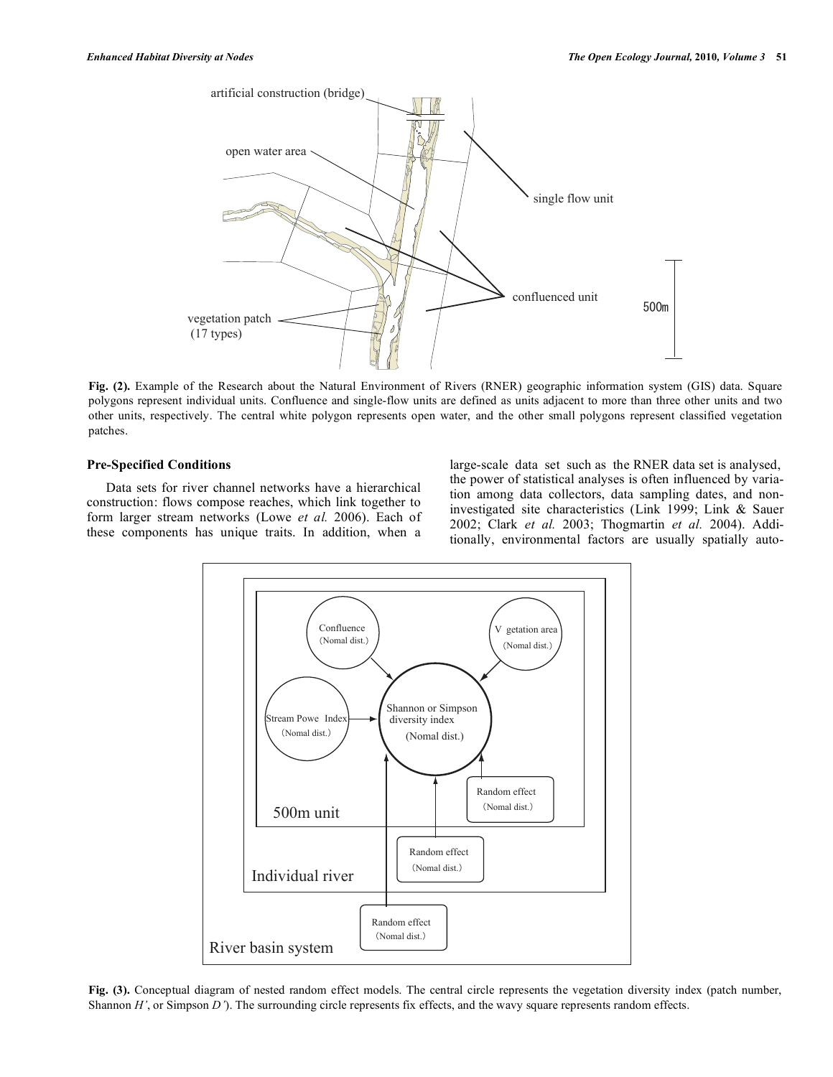

**Fig. (2).** Example of the Research about the Natural Environment of Rivers (RNER) geographic information system (GIS) data. Square polygons represent individual units. Confluence and single-flow units are defined as units adjacent to more than three other units and two other units, respectively. The central white polygon represents open water, and the other small polygons represent classified vegetation patches.

## **Pre-Specified Conditions**

Data sets for river channel networks have a hierarchical construction: flows compose reaches, which link together to form larger stream networks (Lowe *et al.* 2006). Each of these components has unique traits. In addition, when a large-scale data set such as the RNER data set is analysed, the power of statistical analyses is often influenced by variation among data collectors, data sampling dates, and noninvestigated site characteristics (Link 1999; Link & Sauer 2002; Clark *et al.* 2003; Thogmartin *et al.* 2004). Additionally, environmental factors are usually spatially auto-



**Fig. (3).** Conceptual diagram of nested random effect models. The central circle represents the vegetation diversity index (patch number, Shannon *H'*, or Simpson *D'*). The surrounding circle represents fix effects, and the wavy square represents random effects.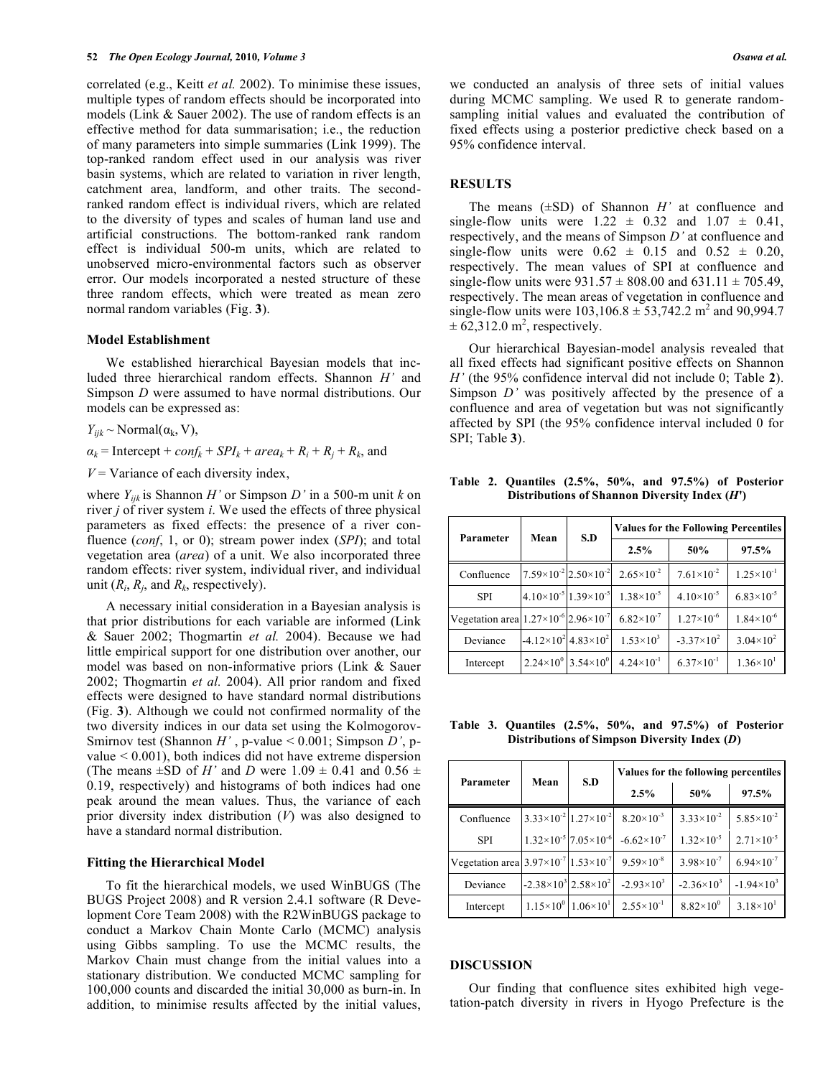correlated (e.g., Keitt *et al.* 2002). To minimise these issues, multiple types of random effects should be incorporated into models (Link & Sauer 2002). The use of random effects is an effective method for data summarisation; i.e., the reduction of many parameters into simple summaries (Link 1999). The top-ranked random effect used in our analysis was river basin systems, which are related to variation in river length, catchment area, landform, and other traits. The secondranked random effect is individual rivers, which are related to the diversity of types and scales of human land use and artificial constructions. The bottom-ranked rank random effect is individual 500-m units, which are related to unobserved micro-environmental factors such as observer error. Our models incorporated a nested structure of these three random effects, which were treated as mean zero normal random variables (Fig. **3**).

### **Model Establishment**

We established hierarchical Bayesian models that included three hierarchical random effects. Shannon *H'* and Simpson *D* were assumed to have normal distributions. Our models can be expressed as:

 $Y_{ijk} \sim \text{Normal}(\alpha_k, V)$ ,

 $a_k$  = Intercept + *conf<sub>k</sub>* + *SPI<sub>k</sub>* + *area<sub>k</sub>* +  $R_i$  +  $R_j$  +  $R_k$ , and

 $V = \text{Variance of each diversity index},$ 

where  $Y_{ijk}$  is Shannon *H'* or Simpson *D'* in a 500-m unit *k* on river *j* of river system *i*. We used the effects of three physical parameters as fixed effects: the presence of a river confluence (*conf*, 1, or 0); stream power index (*SPI*); and total vegetation area (*area*) of a unit. We also incorporated three random effects: river system, individual river, and individual unit  $(R_i, R_j, \text{ and } R_k, \text{ respectively).$ 

A necessary initial consideration in a Bayesian analysis is that prior distributions for each variable are informed (Link & Sauer 2002; Thogmartin *et al.* 2004). Because we had little empirical support for one distribution over another, our model was based on non-informative priors (Link & Sauer 2002; Thogmartin *et al.* 2004). All prior random and fixed effects were designed to have standard normal distributions (Fig. **3**). Although we could not confirmed normality of the two diversity indices in our data set using the Kolmogorov-Smirnov test (Shannon *H'* , p-value < 0.001; Simpson *D'*, pvalue < 0.001), both indices did not have extreme dispersion (The means  $\pm$ SD of *H'* and *D* were 1.09  $\pm$  0.41 and 0.56  $\pm$ 0.19, respectively) and histograms of both indices had one peak around the mean values. Thus, the variance of each prior diversity index distribution (*V*) was also designed to have a standard normal distribution.

### **Fitting the Hierarchical Model**

To fit the hierarchical models, we used WinBUGS (The BUGS Project 2008) and R version 2.4.1 software (R Development Core Team 2008) with the R2WinBUGS package to conduct a Markov Chain Monte Carlo (MCMC) analysis using Gibbs sampling. To use the MCMC results, the Markov Chain must change from the initial values into a stationary distribution. We conducted MCMC sampling for 100,000 counts and discarded the initial 30,000 as burn-in. In addition, to minimise results affected by the initial values,

we conducted an analysis of three sets of initial values during MCMC sampling. We used R to generate randomsampling initial values and evaluated the contribution of fixed effects using a posterior predictive check based on a 95% confidence interval.

### **RESULTS**

The means (±SD) of Shannon *H'* at confluence and single-flow units were  $1.22 \pm 0.32$  and  $1.07 \pm 0.41$ , respectively, and the means of Simpson *D'* at confluence and single-flow units were  $0.62 \pm 0.15$  and  $0.52 \pm 0.20$ , respectively. The mean values of SPI at confluence and single-flow units were  $931.57 \pm 808.00$  and  $631.11 \pm 705.49$ , respectively. The mean areas of vegetation in confluence and single-flow units were  $103,106.8 \pm 53,742.2 \text{ m}^2$  and 90,994.7  $\pm 62,312.0$  m<sup>2</sup>, respectively.

Our hierarchical Bayesian-model analysis revealed that all fixed effects had significant positive effects on Shannon *H'* (the 95% confidence interval did not include 0; Table **2**). Simpson *D'* was positively affected by the presence of a confluence and area of vegetation but was not significantly affected by SPI (the 95% confidence interval included 0 for SPI; Table **3**).

| Parameter                                                | Mean                                      | S.D |                       | <b>Values for the Following Percentiles</b> |                       |
|----------------------------------------------------------|-------------------------------------------|-----|-----------------------|---------------------------------------------|-----------------------|
|                                                          |                                           |     | 2.5%                  | 50%                                         | 97.5%                 |
| Confluence                                               | $7.59\times10^{-2}$ $2.50\times10^{-2}$   |     | $2.65 \times 10^{-2}$ | $7.61\times10^{-2}$                         | $1.25 \times 10^{-1}$ |
| <b>SPI</b>                                               | $4.10\times10^{-5}$ 1.39×10 <sup>-5</sup> |     | $1.38\times10^{-5}$   | $4.10\times10^{-5}$                         | $6.83\times10^{-5}$   |
| Vegetation area $1.27\times10^{-6}$ 2.96 $\times10^{-7}$ |                                           |     | $6.82\times10^{-7}$   | $1.27\times10^{-6}$                         | $1.84\times10^{-6}$   |
| Deviance                                                 | $-4.12\times10^{2}$ 4.83×10 <sup>2</sup>  |     | $1.53\times10^{3}$    | $-3.37\times10^{2}$                         | $3.04 \times 10^{2}$  |
| Intercept                                                | $2.24\times10^{0}$ 3.54×10 <sup>0</sup>   |     | $4.24 \times 10^{-1}$ | $6.37\times10^{-1}$                         | $1.36 \times 10^{1}$  |

**Table 2. Quantiles (2.5%, 50%, and 97.5%) of Posterior Distributions of Shannon Diversity Index (***H***')**

**Table 3. Quantiles (2.5%, 50%, and 97.5%) of Posterior Distributions of Simpson Diversity Index (***D***)**

| Parameter                                                | Mean                                     | S.D                                      | Values for the following percentiles |                       |                       |
|----------------------------------------------------------|------------------------------------------|------------------------------------------|--------------------------------------|-----------------------|-----------------------|
|                                                          |                                          |                                          | 2.5%                                 | 50%                   | 97.5%                 |
| Confluence                                               | $3.33\times10^{-2}$ 1.27 $\times10^{-2}$ |                                          | $8.20\times10^{-3}$                  | $3.33 \times 10^{-2}$ | $5.85 \times 10^{-2}$ |
| <b>SPI</b>                                               |                                          | $1.32\times10^{-5}$ 7.05 $\times10^{-6}$ | $-6.62\times10^{-7}$                 | $1.32\times10^{-5}$   | $2.71 \times 10^{-5}$ |
| Vegetation area $3.97\times10^{-7}$ 1.53 $\times10^{-7}$ |                                          |                                          | $9.59\times10^{-8}$                  | $3.98 \times 10^{-7}$ | $6.94 \times 10^{-7}$ |
| Deviance                                                 | $-2.38\times10^{3}$ 2.58 $\times10^{2}$  |                                          | $-2.93\times10^{3}$                  | $-2.36\times10^{3}$   | $-1.94\times10^{3}$   |
| Intercept                                                |                                          | $1.15\times10^{0}$ $1.06\times10^{1}$    | $2.55 \times 10^{-1}$                | $8.82\times10^{0}$    | $3.18 \times 10^{1}$  |

### **DISCUSSION**

Our finding that confluence sites exhibited high vegetation-patch diversity in rivers in Hyogo Prefecture is the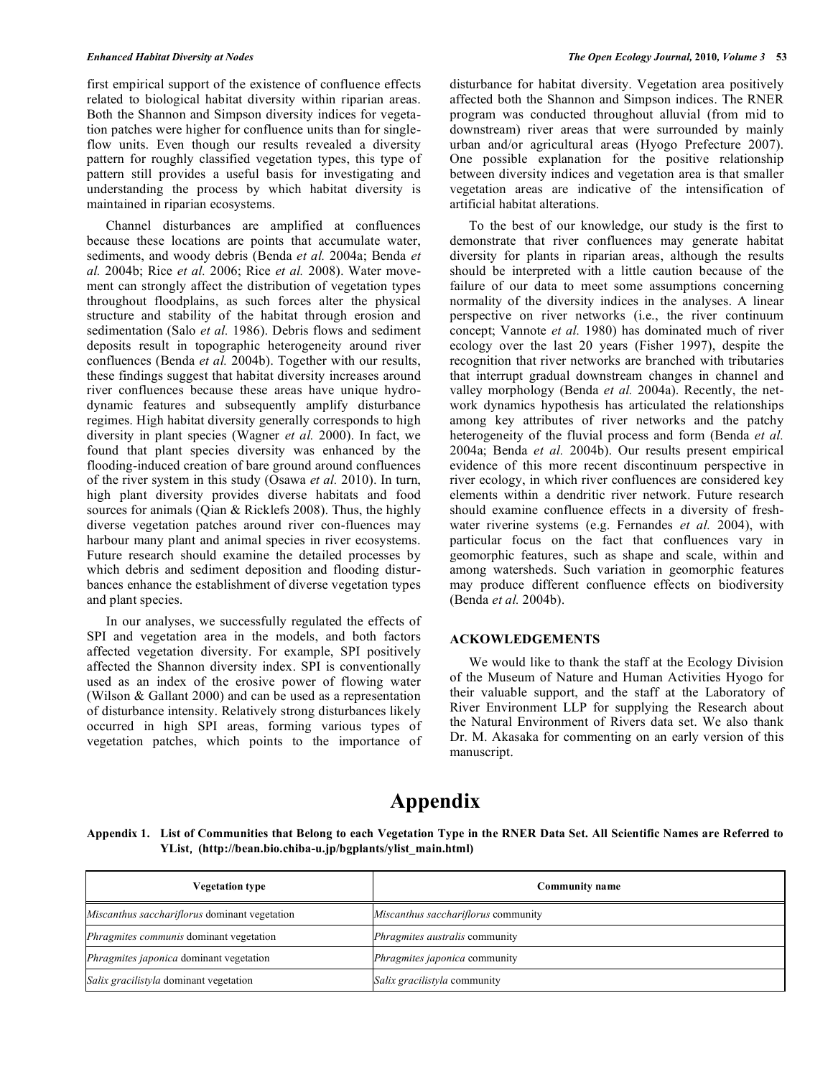first empirical support of the existence of confluence effects related to biological habitat diversity within riparian areas. Both the Shannon and Simpson diversity indices for vegetation patches were higher for confluence units than for singleflow units. Even though our results revealed a diversity pattern for roughly classified vegetation types, this type of pattern still provides a useful basis for investigating and understanding the process by which habitat diversity is maintained in riparian ecosystems.

Channel disturbances are amplified at confluences because these locations are points that accumulate water, sediments, and woody debris (Benda *et al.* 2004a; Benda *et al.* 2004b; Rice *et al.* 2006; Rice *et al.* 2008). Water movement can strongly affect the distribution of vegetation types throughout floodplains, as such forces alter the physical structure and stability of the habitat through erosion and sedimentation (Salo *et al.* 1986). Debris flows and sediment deposits result in topographic heterogeneity around river confluences (Benda *et al.* 2004b). Together with our results, these findings suggest that habitat diversity increases around river confluences because these areas have unique hydrodynamic features and subsequently amplify disturbance regimes. High habitat diversity generally corresponds to high diversity in plant species (Wagner *et al.* 2000). In fact, we found that plant species diversity was enhanced by the flooding-induced creation of bare ground around confluences of the river system in this study (Osawa *et al.* 2010). In turn, high plant diversity provides diverse habitats and food sources for animals (Oian & Ricklefs 2008). Thus, the highly diverse vegetation patches around river con-fluences may harbour many plant and animal species in river ecosystems. Future research should examine the detailed processes by which debris and sediment deposition and flooding disturbances enhance the establishment of diverse vegetation types and plant species.

In our analyses, we successfully regulated the effects of SPI and vegetation area in the models, and both factors affected vegetation diversity. For example, SPI positively affected the Shannon diversity index. SPI is conventionally used as an index of the erosive power of flowing water (Wilson & Gallant 2000) and can be used as a representation of disturbance intensity. Relatively strong disturbances likely occurred in high SPI areas, forming various types of vegetation patches, which points to the importance of disturbance for habitat diversity. Vegetation area positively affected both the Shannon and Simpson indices. The RNER program was conducted throughout alluvial (from mid to downstream) river areas that were surrounded by mainly urban and/or agricultural areas (Hyogo Prefecture 2007). One possible explanation for the positive relationship between diversity indices and vegetation area is that smaller vegetation areas are indicative of the intensification of artificial habitat alterations.

To the best of our knowledge, our study is the first to demonstrate that river confluences may generate habitat diversity for plants in riparian areas, although the results should be interpreted with a little caution because of the failure of our data to meet some assumptions concerning normality of the diversity indices in the analyses. A linear perspective on river networks (i.e., the river continuum concept; Vannote *et al.* 1980) has dominated much of river ecology over the last 20 years (Fisher 1997), despite the recognition that river networks are branched with tributaries that interrupt gradual downstream changes in channel and valley morphology (Benda *et al.* 2004a). Recently, the network dynamics hypothesis has articulated the relationships among key attributes of river networks and the patchy heterogeneity of the fluvial process and form (Benda *et al.* 2004a; Benda *et al.* 2004b). Our results present empirical evidence of this more recent discontinuum perspective in river ecology, in which river confluences are considered key elements within a dendritic river network. Future research should examine confluence effects in a diversity of freshwater riverine systems (e.g. Fernandes *et al.* 2004), with particular focus on the fact that confluences vary in geomorphic features, such as shape and scale, within and among watersheds. Such variation in geomorphic features may produce different confluence effects on biodiversity (Benda *et al.* 2004b).

## **ACKOWLEDGEMENTS**

We would like to thank the staff at the Ecology Division of the Museum of Nature and Human Activities Hyogo for their valuable support, and the staff at the Laboratory of River Environment LLP for supplying the Research about the Natural Environment of Rivers data set. We also thank Dr. M. Akasaka for commenting on an early version of this manuscript.

# **Appendix**

**Appendix 1. List of Communities that Belong to each Vegetation Type in the RNER Data Set. All Scientific Names are Referred to YList**,**(http://bean.bio.chiba-u.jp/bgplants/ylist\_main.html)**

| <b>Vegetation type</b>                        | <b>Community name</b>               |
|-----------------------------------------------|-------------------------------------|
| Miscanthus sacchariflorus dominant vegetation | Miscanthus sacchariflorus community |
| Phragmites communis dominant vegetation       | Phragmites australis community      |
| Phragmites japonica dominant vegetation       | Phragmites japonica community       |
| Salix gracilistyla dominant vegetation        | Salix gracilistyla community        |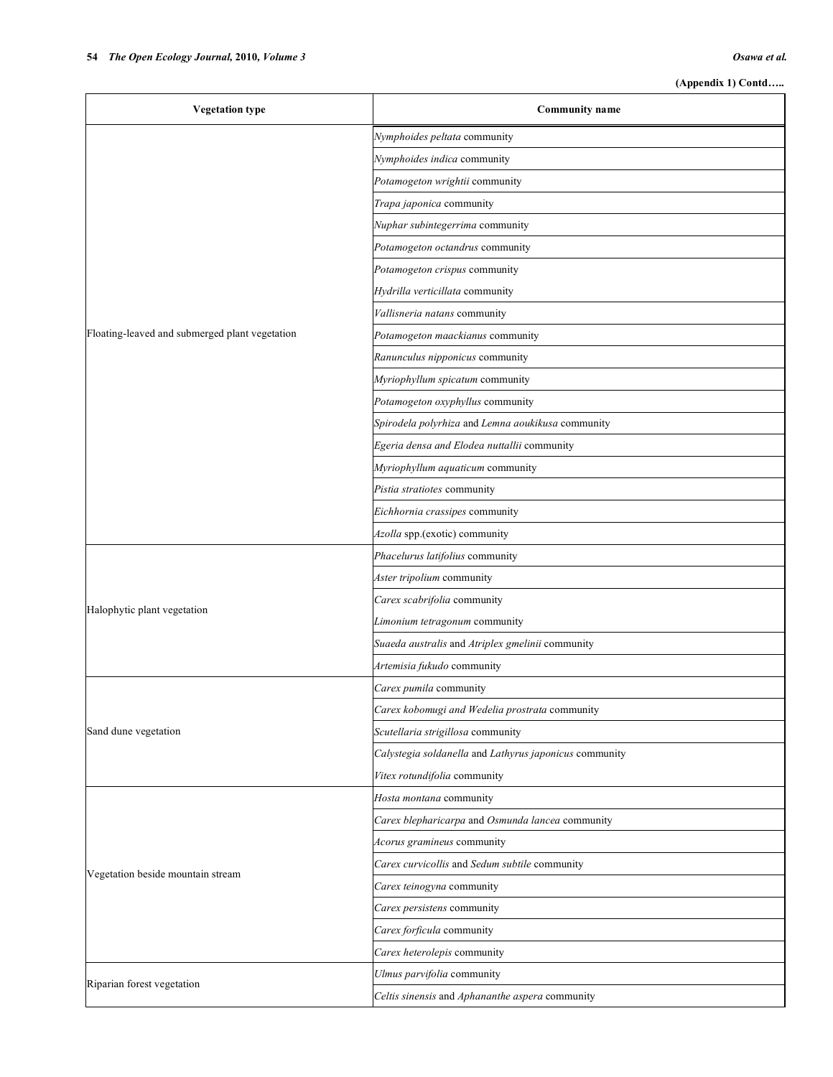| <b>Vegetation type</b>                         | <b>Community name</b>                                  |
|------------------------------------------------|--------------------------------------------------------|
|                                                | Nymphoides peltata community                           |
|                                                | Nymphoides indica community                            |
|                                                | Potamogeton wrightii community                         |
|                                                | Trapa japonica community                               |
|                                                | Nuphar subintegerrima community                        |
|                                                | Potamogeton octandrus community                        |
|                                                | Potamogeton crispus community                          |
|                                                | Hydrilla verticillata community                        |
|                                                | Vallisneria natans community                           |
| Floating-leaved and submerged plant vegetation | Potamogeton maackianus community                       |
|                                                | Ranunculus nipponicus community                        |
|                                                | Myriophyllum spicatum community                        |
|                                                | Potamogeton oxyphyllus community                       |
|                                                | Spirodela polyrhiza and Lemna aoukikusa community      |
|                                                | Egeria densa and Elodea nuttallii community            |
|                                                | Myriophyllum aquaticum community                       |
|                                                | Pistia stratiotes community                            |
|                                                | Eichhornia crassipes community                         |
|                                                | Azolla spp.(exotic) community                          |
|                                                | Phacelurus latifolius community                        |
|                                                | Aster tripolium community                              |
|                                                | Carex scabrifolia community                            |
| Halophytic plant vegetation                    | Limonium tetragonum community                          |
|                                                | Suaeda australis and Atriplex gmelinii community       |
|                                                | Artemisia fukudo community                             |
|                                                | Carex pumila community                                 |
|                                                | Carex kobomugi and Wedelia prostrata community         |
| Sand dune vegetation                           | Scutellaria strigillosa community                      |
|                                                | Calystegia soldanella and Lathyrus japonicus community |
|                                                | Vitex rotundifolia community                           |
|                                                | Hosta montana community                                |
|                                                | Carex blepharicarpa and Osmunda lancea community       |
|                                                | Acorus gramineus community                             |
| Vegetation beside mountain stream              | Carex curvicollis and Sedum subtile community          |
|                                                | Carex teinogyna community                              |
|                                                | Carex persistens community                             |
|                                                | Carex forficula community                              |
|                                                | Carex heterolepis community                            |
| Riparian forest vegetation                     | Ulmus parvifolia community                             |
|                                                | Celtis sinensis and Aphananthe aspera community        |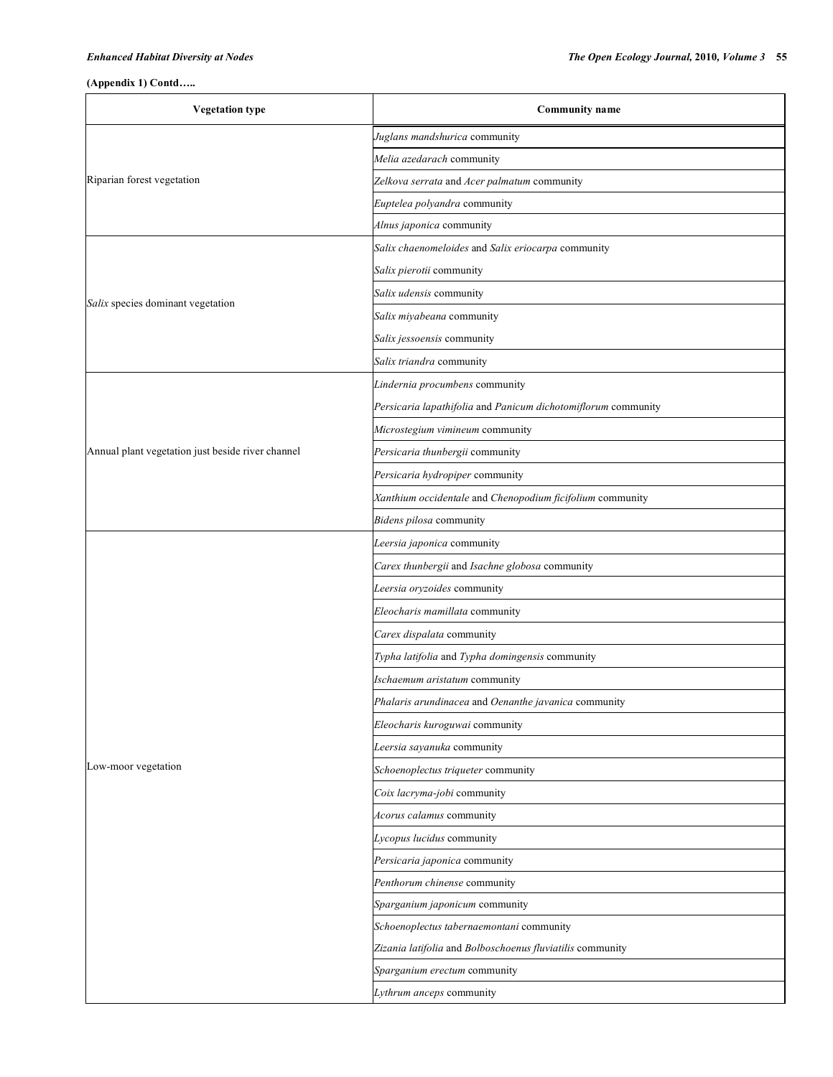٦

## **(Appendix 1) Contd…..**

| <b>Vegetation type</b>                            | <b>Community name</b>                                         |  |  |
|---------------------------------------------------|---------------------------------------------------------------|--|--|
|                                                   | Juglans mandshurica community                                 |  |  |
|                                                   | Melia azedarach community                                     |  |  |
| Riparian forest vegetation                        | Zelkova serrata and Acer palmatum community                   |  |  |
|                                                   | Euptelea polyandra community                                  |  |  |
|                                                   | Alnus japonica community                                      |  |  |
|                                                   | Salix chaenomeloides and Salix eriocarpa community            |  |  |
|                                                   | Salix pierotii community                                      |  |  |
| Salix species dominant vegetation                 | Salix udensis community                                       |  |  |
|                                                   | Salix miyabeana community                                     |  |  |
|                                                   | Salix jessoensis community                                    |  |  |
|                                                   | Salix triandra community                                      |  |  |
|                                                   | Lindernia procumbens community                                |  |  |
|                                                   | Persicaria lapathifolia and Panicum dichotomiflorum community |  |  |
|                                                   | Microstegium vimineum community                               |  |  |
| Annual plant vegetation just beside river channel | Persicaria thunbergii community                               |  |  |
|                                                   | Persicaria hydropiper community                               |  |  |
|                                                   | Xanthium occidentale and Chenopodium ficifolium community     |  |  |
|                                                   | Bidens pilosa community                                       |  |  |
|                                                   | Leersia japonica community                                    |  |  |
|                                                   | Carex thunbergii and Isachne globosa community                |  |  |
|                                                   | Leersia oryzoides community                                   |  |  |
|                                                   | Eleocharis mamillata community                                |  |  |
|                                                   | Carex dispalata community                                     |  |  |
|                                                   | Typha latifolia and Typha domingensis community               |  |  |
|                                                   | Ischaemum aristatum community                                 |  |  |
|                                                   | Phalaris arundinacea and Oenanthe javanica community          |  |  |
|                                                   | Eleocharis kuroguwai community                                |  |  |
|                                                   | Leersia sayanuka community                                    |  |  |
| Low-moor vegetation                               | Schoenoplectus triqueter community                            |  |  |
|                                                   | Coix lacryma-jobi community                                   |  |  |
|                                                   | Acorus calamus community                                      |  |  |
|                                                   | Lycopus lucidus community                                     |  |  |
|                                                   | Persicaria japonica community                                 |  |  |
|                                                   | Penthorum chinense community                                  |  |  |
|                                                   | Sparganium japonicum community                                |  |  |
|                                                   | Schoenoplectus tabernaemontani community                      |  |  |
|                                                   | Zizania latifolia and Bolboschoenus fluviatilis community     |  |  |
|                                                   | Sparganium erectum community                                  |  |  |
|                                                   | Lythrum anceps community                                      |  |  |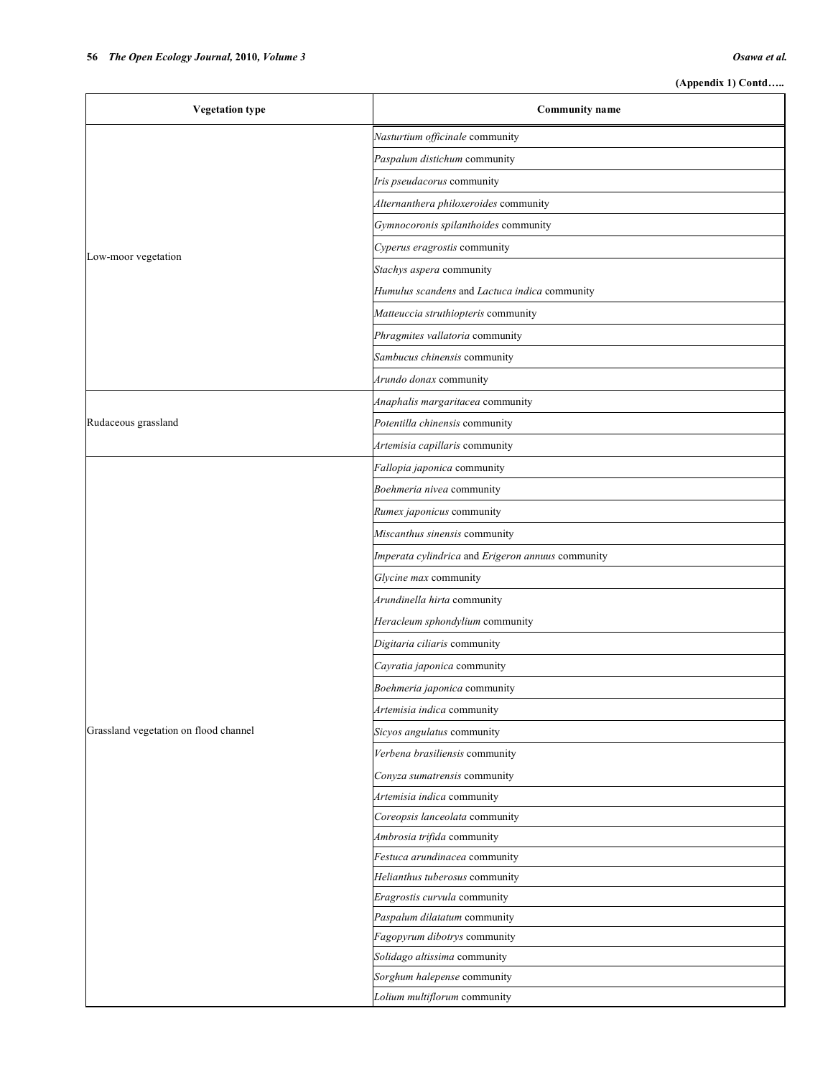| <b>Vegetation type</b>                | <b>Community name</b>                                        |
|---------------------------------------|--------------------------------------------------------------|
|                                       | Nasturtium officinale community                              |
|                                       | Paspalum distichum community                                 |
|                                       | Iris pseudacorus community                                   |
|                                       | Alternanthera philoxeroides community                        |
|                                       | Gymnocoronis spilanthoides community                         |
|                                       | Cyperus eragrostis community                                 |
| Low-moor vegetation                   | Stachys aspera community                                     |
|                                       | Humulus scandens and Lactuca indica community                |
|                                       | Matteuccia struthiopteris community                          |
|                                       | Phragmites vallatoria community                              |
|                                       | Sambucus chinensis community                                 |
|                                       | Arundo donax community                                       |
|                                       | Anaphalis margaritacea community                             |
| Rudaceous grassland                   | Potentilla chinensis community                               |
|                                       | Artemisia capillaris community                               |
|                                       | Fallopia japonica community                                  |
|                                       | Boehmeria nivea community                                    |
|                                       | Rumex japonicus community                                    |
|                                       | Miscanthus sinensis community                                |
|                                       | Imperata cylindrica and Erigeron annuus community            |
|                                       | Glycine max community                                        |
|                                       | Arundinella hirta community                                  |
|                                       | Heracleum sphondylium community                              |
|                                       | Digitaria ciliaris community                                 |
|                                       | Cayratia japonica community                                  |
|                                       | Boehmeria japonica community                                 |
|                                       | Artemisia indica community                                   |
| Grassland vegetation on flood channel | Sicyos angulatus community                                   |
|                                       | Verbena brasiliensis community                               |
|                                       | Conyza sumatrensis community                                 |
|                                       | Artemisia indica community                                   |
|                                       | Coreopsis lanceolata community                               |
|                                       | Ambrosia trifida community                                   |
|                                       | Festuca arundinacea community                                |
|                                       | Helianthus tuberosus community                               |
|                                       | Eragrostis curvula community<br>Paspalum dilatatum community |
|                                       | Fagopyrum dibotrys community                                 |
|                                       | Solidago altissima community                                 |
|                                       | Sorghum halepense community                                  |
|                                       | Lolium multiflorum community                                 |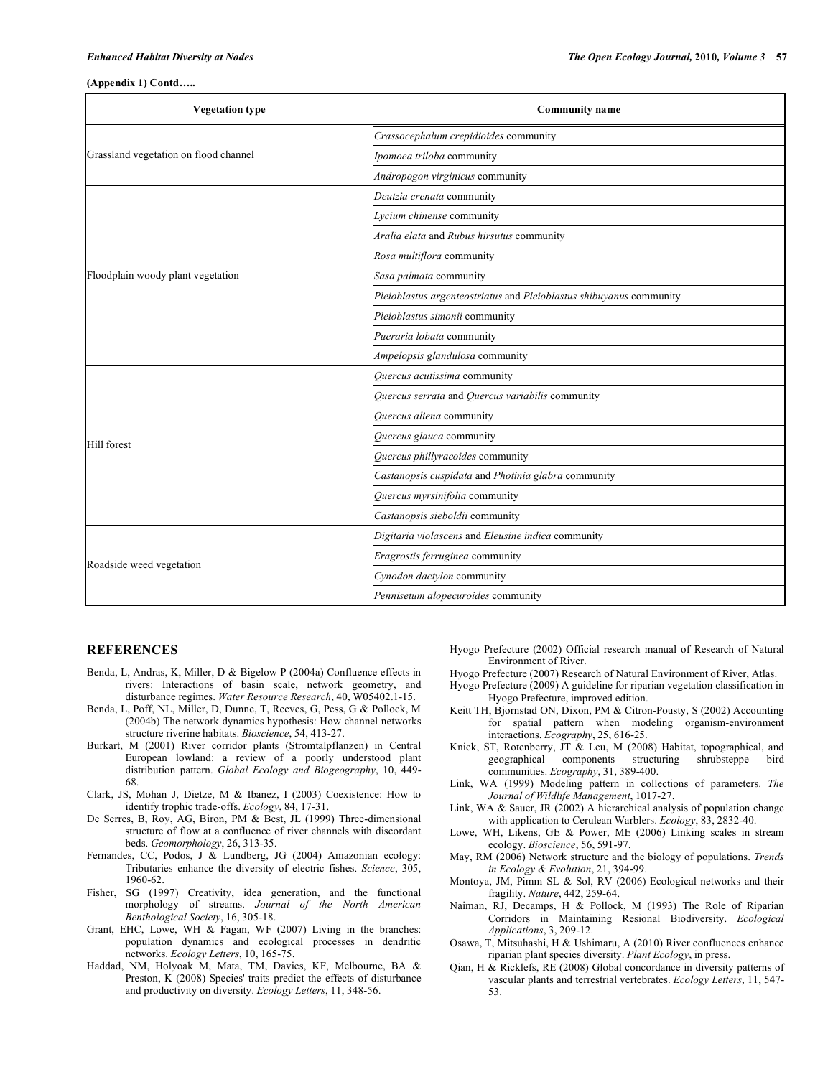### *Enhanced Habitat Diversity at Nodes The Open Ecology Journal,* **2010***, Volume 3* **57**

#### **(Appendix 1) Contd…..**

| <b>Vegetation type</b>                | <b>Community name</b>                                               |  |
|---------------------------------------|---------------------------------------------------------------------|--|
|                                       | Crassocephalum crepidioides community                               |  |
| Grassland vegetation on flood channel | Ipomoea triloba community                                           |  |
|                                       | Andropogon virginicus community                                     |  |
|                                       | Deutzia crenata community                                           |  |
|                                       | Lycium chinense community                                           |  |
|                                       | Aralia elata and Rubus hirsutus community                           |  |
|                                       | Rosa multiflora community                                           |  |
| Floodplain woody plant vegetation     | Sasa palmata community                                              |  |
|                                       | Pleioblastus argenteostriatus and Pleioblastus shibuyanus community |  |
|                                       | Pleioblastus simonii community                                      |  |
|                                       | Pueraria lobata community                                           |  |
|                                       | Ampelopsis glandulosa community                                     |  |
|                                       | Quercus acutissima community                                        |  |
|                                       | Quercus serrata and Quercus variabilis community                    |  |
|                                       | Quercus aliena community                                            |  |
| <b>Hill forest</b>                    | Quercus glauca community                                            |  |
|                                       | Quercus phillyraeoides community                                    |  |
|                                       | Castanopsis cuspidata and Photinia glabra community                 |  |
|                                       | Quercus myrsinifolia community                                      |  |
|                                       | Castanopsis sieboldii community                                     |  |
| Roadside weed vegetation              | Digitaria violascens and Eleusine indica community                  |  |
|                                       | Eragrostis ferruginea community                                     |  |
|                                       | Cynodon dactylon community                                          |  |
|                                       | Pennisetum alopecuroides community                                  |  |

## **REFERENCES**

- Benda, L, Andras, K, Miller, D & Bigelow P (2004a) Confluence effects in rivers: Interactions of basin scale, network geometry, and disturbance regimes. *Water Resource Research*, 40, W05402.1-15.
- Benda, L, Poff, NL, Miller, D, Dunne, T, Reeves, G, Pess, G & Pollock, M (2004b) The network dynamics hypothesis: How channel networks structure riverine habitats. *Bioscience*, 54, 413-27.
- Burkart, M (2001) River corridor plants (Stromtalpflanzen) in Central European lowland: a review of a poorly understood plant distribution pattern. *Global Ecology and Biogeography*, 10, 449- 68.
- Clark, JS, Mohan J, Dietze, M & Ibanez, I (2003) Coexistence: How to identify trophic trade-offs. *Ecology*, 84, 17-31.
- De Serres, B, Roy, AG, Biron, PM & Best, JL (1999) Three-dimensional structure of flow at a confluence of river channels with discordant beds. *Geomorphology*, 26, 313-35.
- Fernandes, CC, Podos, J & Lundberg, JG (2004) Amazonian ecology: Tributaries enhance the diversity of electric fishes. *Science*, 305, 1960-62.
- Fisher, SG (1997) Creativity, idea generation, and the functional morphology of streams. *Journal of the North American Benthological Society*, 16, 305-18.
- Grant, EHC, Lowe, WH & Fagan, WF (2007) Living in the branches: population dynamics and ecological processes in dendritic networks. *Ecology Letters*, 10, 165-75.
- Haddad, NM, Holyoak M, Mata, TM, Davies, KF, Melbourne, BA & Preston, K (2008) Species' traits predict the effects of disturbance and productivity on diversity. *Ecology Letters*, 11, 348-56.
- Hyogo Prefecture (2002) Official research manual of Research of Natural Environment of River.
- Hyogo Prefecture (2007) Research of Natural Environment of River, Atlas.
- Hyogo Prefecture (2009) A guideline for riparian vegetation classification in Hyogo Prefecture, improved edition.
- Keitt TH, Bjornstad ON, Dixon, PM & Citron-Pousty, S (2002) Accounting for spatial pattern when modeling organism-environment interactions. *Ecography*, 25, 616-25.
- Knick, ST, Rotenberry, JT & Leu, M (2008) Habitat, topographical, and geographical components structuring shrubsteppe bird communities. *Ecography*, 31, 389-400.
- Link, WA (1999) Modeling pattern in collections of parameters. *The Journal of Wildlife Management*, 1017-27.
- Link, WA & Sauer, JR (2002) A hierarchical analysis of population change with application to Cerulean Warblers. *Ecology*, 83, 2832-40.
- Lowe, WH, Likens, GE & Power, ME (2006) Linking scales in stream ecology. *Bioscience*, 56, 591-97.
- May, RM (2006) Network structure and the biology of populations. *Trends in Ecology & Evolution*, 21, 394-99.
- Montoya, JM, Pimm SL & Sol, RV (2006) Ecological networks and their fragility. *Nature*, 442, 259-64.
- Naiman, RJ, Decamps, H & Pollock, M (1993) The Role of Riparian Corridors in Maintaining Resional Biodiversity. *Ecological Applications*, 3, 209-12.
- Osawa, T, Mitsuhashi, H & Ushimaru, A (2010) River confluences enhance riparian plant species diversity. *Plant Ecology*, in press.
- Qian, H & Ricklefs, RE (2008) Global concordance in diversity patterns of vascular plants and terrestrial vertebrates. *Ecology Letters*, 11, 547- 53.